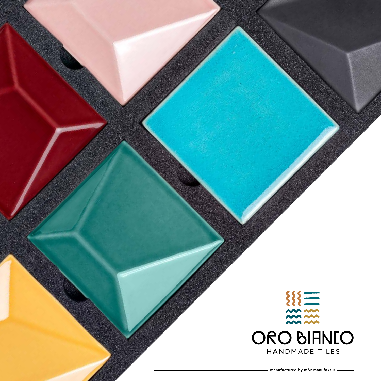



**manufactured by m&r manufaktur**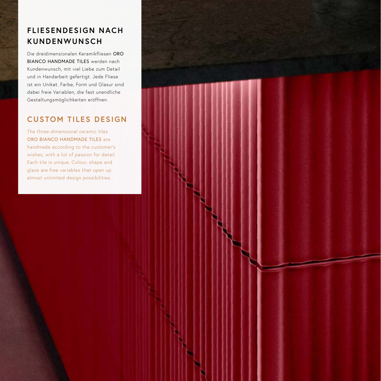# **FLIESENDESIGN NACH KUNDENWUNSCH**

Die dreidimensionalen Keramikfliesen ORO BIANCO HANDMADE TILES werden nach Kundenwunsch, mit viel Liebe zum Detail und in Handarbeit gefertigt. Jede Fliese ist ein Unikat. Farbe, Form und Glasur sind dabei freie Variablen, die fast unendliche Gestaltungsmöglichkeiten eröffnen.

### **CUSTOM TILES DESIGN**

The three-dimensional ceramic tiles ORO BIANCO HANDMADE TILES are handmade according to the customer's wishes, with a lot of passion for detail. Each tile is unique. Colour, shape and glaze are free variables that open up almost unlimited design possibilities.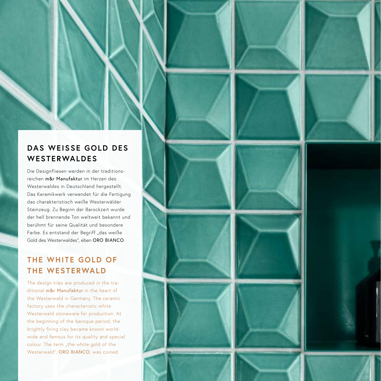## **DAS WEISSE GOLD DES WESTERWALDES**

Die Designfliesen werden in der traditionsreichen m&r Manufaktur im Herzen des Westerwaldes in Deutschland hergestellt. Das Keramikwerk verwendet für die Fertigung das charakteristisch weiße Westerwälder Steinzeug. Zu Beginn der Barockzeit wurde der hell brennende Ton weltweit bekannt und berühmt für seine Qualität und besondere Farbe. Es entstand der Begriff "das weiße Gold des Westerwaldes", eben ORO BIANCO.

## **THE WHITE GOLD OF THE WESTERWALD**

The design tiles are produced in the traditional m&r Manufaktur in the heart of the Westerwald in Germany. The ceramic factory uses the characteristic white Westerwald stoneware for production. At the beginning of the baroque period, the brightly firing clay became known worldwide and famous for its quality and special colour. The term "the white gold of the Westerwald", ORO BIANCO, was coined.









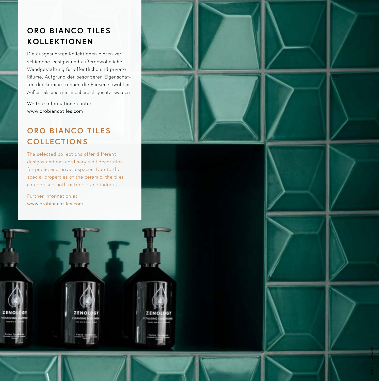## **ORO BIANCO TILES KOLLEKTIONEN**

Die ausgesuchten Kollektionen bieten ver schiedene Designs und außergewöhnliche Wandgestaltung für öffentliche und private Räume. Aufgrund der besonderen Eigenschaf ten der Keramik können die Fliesen sowohl im Außen - als auch im Innenbereich genutzt werden.

Weitere Informationen unter www.orobiancotiles.com

# **ORO BIANCO TILES COLLECTIONS**

The selected collections offer different designs and extraordinary wall decoration for public and private spaces. Due to the special properties of the ceramic, the tiles can be used both outdoors and indoors.

Further information at www.orobiancotiles.com

ZENO

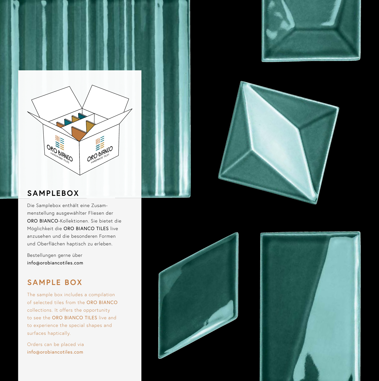





#### **SAMPLEBOX**

Die Samplebox enthält eine Zusammenstellung ausgewählter Fliesen der ORO BIANCO- Kollektionen. Sie bietet die Möglichkeit die ORO BIANCO TILES live anzusehen und die besonderen Formen und Oberflächen haptisch zu erleben.

Bestellungen gerne über info@orobiancotiles.com

### **SAMPLE BOX**

The sample box includes a compilation of selected tiles from the ORO BIANCO collections. It offers the opportunity to see the ORO BIANCO TILES live and to experience the special shapes and surfaces haptically.

Orders can be placed via info@orobiancotiles.com